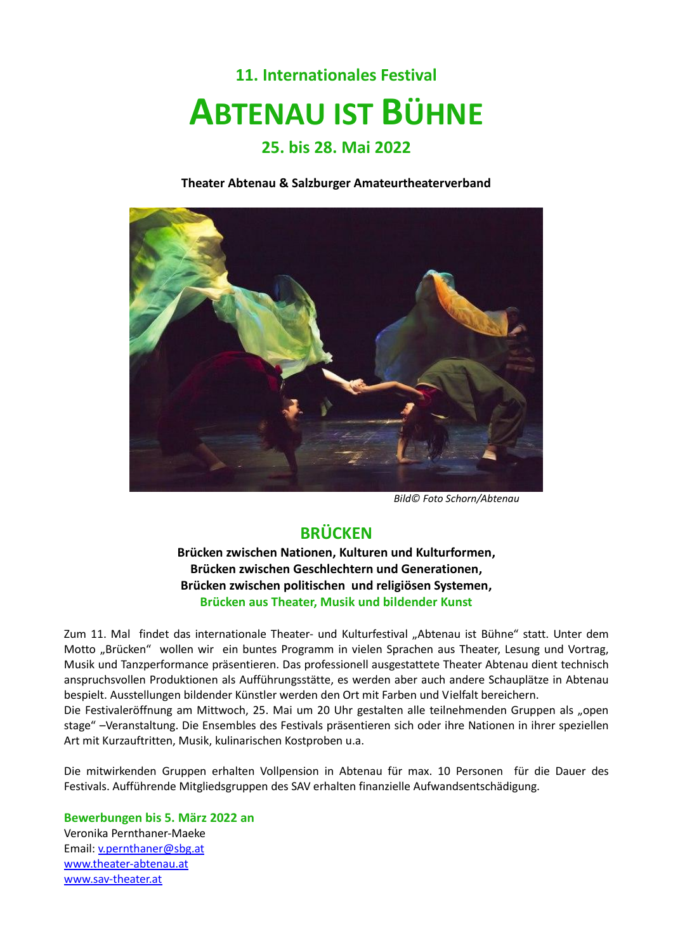# **11. Internationales Festival ABTENAU IST BÜHNE**

#### **25. bis 28. Mai 2022**

**Theater Abtenau & Salzburger Amateurtheaterverband** 



 *Bild© Foto Schorn/Abtenau*

### **BRÜCKEN**

**Brücken zwischen Nationen, Kulturen und Kulturformen, Brücken zwischen Geschlechtern und Generationen, Brücken zwischen politischen und religiösen Systemen, Brücken aus Theater, Musik und bildender Kunst**

Zum 11. Mal findet das internationale Theater- und Kulturfestival "Abtenau ist Bühne" statt. Unter dem Motto "Brücken" wollen wir ein buntes Programm in vielen Sprachen aus Theater, Lesung und Vortrag, Musik und Tanzperformance präsentieren. Das professionell ausgestattete Theater Abtenau dient technisch anspruchsvollen Produktionen als Aufführungsstätte, es werden aber auch andere Schauplätze in Abtenau bespielt. Ausstellungen bildender Künstler werden den Ort mit Farben und Vielfalt bereichern.

Die Festivaleröffnung am Mittwoch, 25. Mai um 20 Uhr gestalten alle teilnehmenden Gruppen als "open stage" –Veranstaltung. Die Ensembles des Festivals präsentieren sich oder ihre Nationen in ihrer speziellen Art mit Kurzauftritten, Musik, kulinarischen Kostproben u.a.

Die mitwirkenden Gruppen erhalten Vollpension in Abtenau für max. 10 Personen für die Dauer des Festivals. Aufführende Mitgliedsgruppen des SAV erhalten finanzielle Aufwandsentschädigung.

**Bewerbungen bis 5. März 2022 an** Veronika Pernthaner-Maeke Email: [v.pernthaner@sbg.at](mailto:v.pernthaner@sbg.at) [www.theater-abtenau.at](http://www.theater-abtenau.at/)  [www.sav-theater.at](http://www.sav-theater.at/)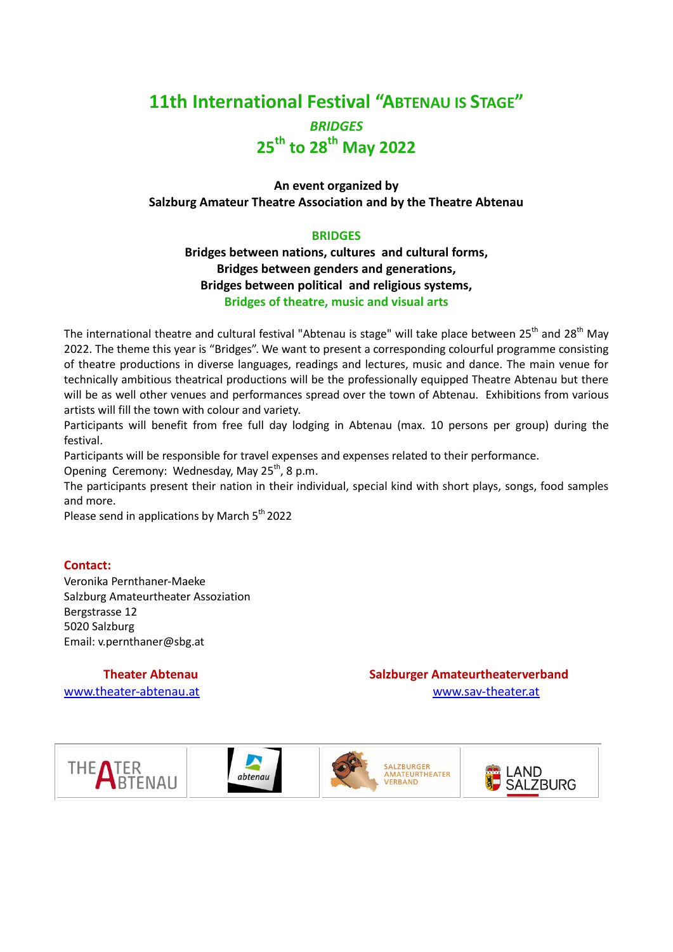## **11th International Festival "ABTENAU IS STAGE"** *BRIDGES* **25th to 28 th May 2022**

#### **An event organized by Salzburg Amateur Theatre Association and by the Theatre Abtenau**

#### **BRIDGES**

**Bridges between nations, cultures and cultural forms, Bridges between genders and generations, Bridges between political and religious systems, Bridges of theatre, music and visual arts**

The international theatre and cultural festival "Abtenau is stage" will take place between 25<sup>th</sup> and 28<sup>th</sup> May 2022. The theme this year is "Bridges". We want to present a corresponding colourful programme consisting of theatre productions in diverse languages, readings and lectures, music and dance. The main venue for technically ambitious theatrical productions will be the professionally equipped Theatre Abtenau but there will be as well other venues and performances spread over the town of Abtenau. Exhibitions from various artists will fill the town with colour and variety.

Participants will benefit from free full day lodging in Abtenau (max. 10 persons per group) during the festival.

Participants will be responsible for travel expenses and expenses related to their performance.

Opening Ceremony: Wednesday, May 25<sup>th</sup>, 8 p.m.

The participants present their nation in their individual, special kind with short plays, songs, food samples and more.

Please send in applications by March 5<sup>th</sup> 2022

#### **Contact:**

Veronika Pernthaner-Maeke Salzburg Amateurtheater Assoziation Bergstrasse 12 5020 Salzburg Email: v.pernthaner@sbg.at

**Theater Abtenau Salzburger Amateurtheaterverband** [www.theater-abtenau.at](http://www.theater-abtenau.at/) www.sav-theater.at

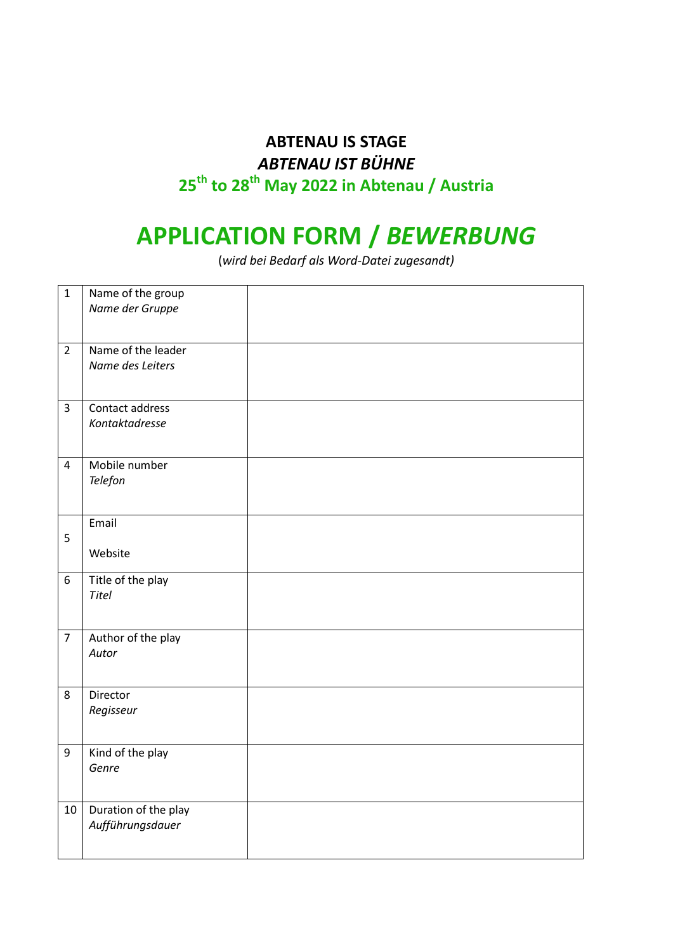## **ABTENAU IS STAGE** *ABTENAU IST BÜHNE* **25th to 28 th May 2022 in Abtenau / Austria**

## **APPLICATION FORM /** *BEWERBUNG*

(*wird bei Bedarf als Word-Datei zugesandt)*

| $\mathbf{1}$   | Name of the group<br>Name der Gruppe |  |
|----------------|--------------------------------------|--|
|                |                                      |  |
| $\overline{2}$ | Name of the leader                   |  |
|                | Name des Leiters                     |  |
| 3              | Contact address                      |  |
|                | Kontaktadresse                       |  |
| $\overline{4}$ | Mobile number<br>Telefon             |  |
|                |                                      |  |
| 5              | Email                                |  |
|                | Website                              |  |
| 6              | Title of the play<br>Titel           |  |
|                |                                      |  |
| $\overline{7}$ | Author of the play<br>Autor          |  |
|                |                                      |  |
| 8              | Director                             |  |
|                | Regisseur                            |  |
| $9\,$          | Kind of the play                     |  |
|                | Genre                                |  |
| $10\,$         | Duration of the play                 |  |
|                | Aufführungsdauer                     |  |
|                |                                      |  |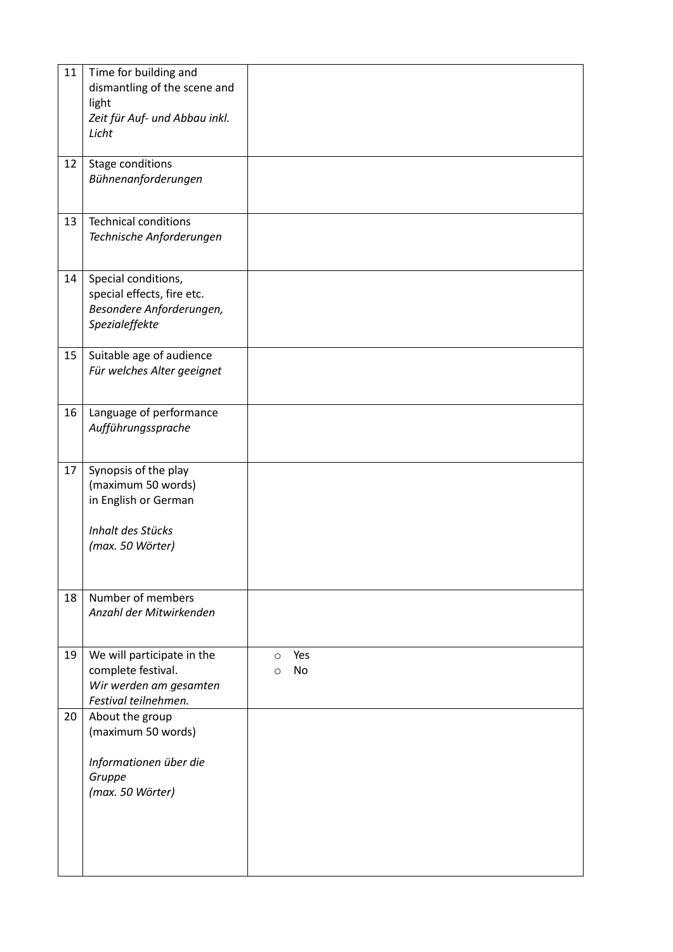| 11 | Time for building and<br>dismantling of the scene and<br>light<br>Zeit für Auf- und Abbau inkl.<br>Licht    |                                 |
|----|-------------------------------------------------------------------------------------------------------------|---------------------------------|
| 12 | Stage conditions<br>Bühnenanforderungen                                                                     |                                 |
| 13 | <b>Technical conditions</b><br>Technische Anforderungen                                                     |                                 |
| 14 | Special conditions,<br>special effects, fire etc.<br>Besondere Anforderungen,<br>Spezialeffekte             |                                 |
| 15 | Suitable age of audience<br>Für welches Alter geeignet                                                      |                                 |
| 16 | Language of performance<br>Aufführungssprache                                                               |                                 |
| 17 | Synopsis of the play<br>(maximum 50 words)<br>in English or German<br>Inhalt des Stücks<br>(max. 50 Wörter) |                                 |
| 18 | Number of members<br>Anzahl der Mitwirkenden                                                                |                                 |
| 19 | We will participate in the<br>complete festival.<br>Wir werden am gesamten<br>Festival teilnehmen.          | Yes<br>$\circ$<br>No<br>$\circ$ |
| 20 | About the group<br>(maximum 50 words)<br>Informationen über die<br>Gruppe<br>(max. 50 Wörter)               |                                 |